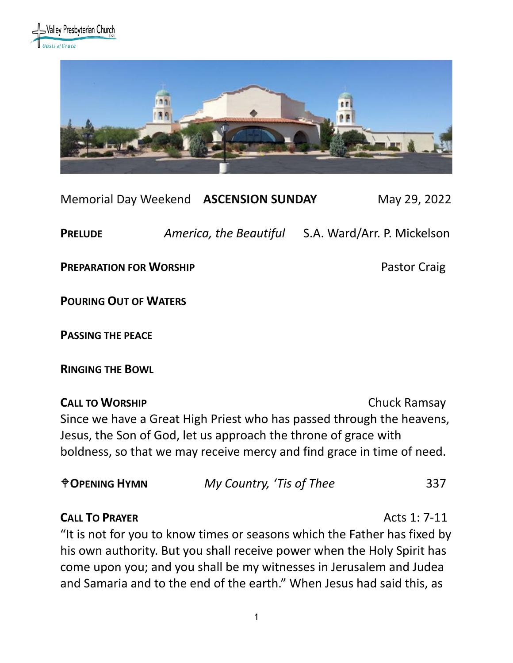

Memorial Day Weekend **ASCENSION SUNDAY** May 29, 2022 **PRELUDE** *America, the Beautiful* S.A. Ward/Arr. P. Mickelson

**PREPARATION FOR WORSHIP** Pastor Craig

**POURING OUT OF WATERS**

**PASSING THE PEACE**

**RINGING THE BOWL** 

**CALL TO WORSHIP CALL TO WORSHIP** Since we have a Great High Priest who has passed through the heavens, Jesus, the Son of God, let us approach the throne of grace with boldness, so that we may receive mercy and find grace in time of need.

| <b><i><u>OPENING HYMN</u></i></b> | My Country, 'Tis of Thee | 337 |
|-----------------------------------|--------------------------|-----|
|-----------------------------------|--------------------------|-----|

### **CALL TO PRAYER** Acts 1: 7-11

"It is not for you to know times or seasons which the Father has fixed by his own authority. But you shall receive power when the Holy Spirit has come upon you; and you shall be my witnesses in Jerusalem and Judea and Samaria and to the end of the earth." When Jesus had said this, as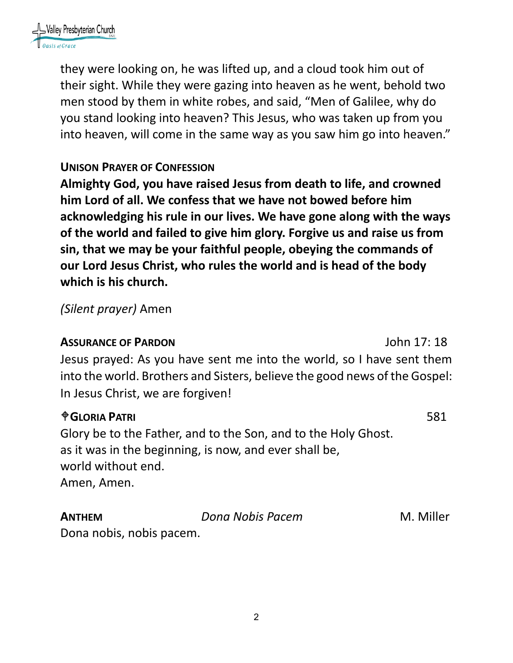

they were looking on, he was lifted up, and a cloud took him out of their sight. While they were gazing into heaven as he went, behold two men stood by them in white robes, and said, "Men of Galilee, why do you stand looking into heaven? This Jesus, who was taken up from you into heaven, will come in the same way as you saw him go into heaven."

## **UNISON PRAYER OF CONFESSION**

**Almighty God, you have raised Jesus from death to life, and crowned him Lord of all. We confess that we have not bowed before him acknowledging his rule in our lives. We have gone along with the ways of the world and failed to give him glory. Forgive us and raise us from sin, that we may be your faithful people, obeying the commands of our Lord Jesus Christ, who rules the world and is head of the body which is his church.**

*(Silent prayer)* Amen

### **ASSURANCE OF PARDON** John 17: 18

Jesus prayed: As you have sent me into the world, so I have sent them into the world. Brothers and Sisters, believe the good news of the Gospel: In Jesus Christ, we are forgiven!

# **GLORIA PATRI** 581

Glory be to the Father, and to the Son, and to the Holy Ghost. as it was in the beginning, is now, and ever shall be, world without end. Amen, Amen.

| <b>ANTHEM</b>            | Dona Nobis Pacem | M. Miller |  |
|--------------------------|------------------|-----------|--|
| Dona nobis, nobis pacem. |                  |           |  |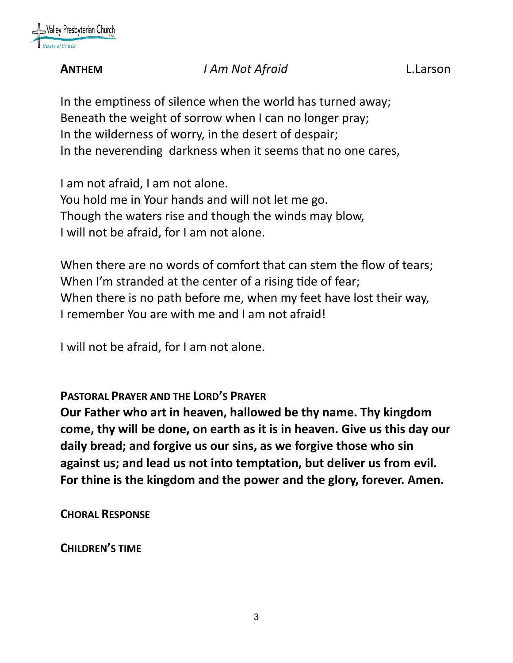

# **ANTHEM** *I Am Not Afraid* L.Larson

In the emptiness of silence when the world has turned away; Beneath the weight of sorrow when I can no longer pray; In the wilderness of worry, in the desert of despair; In the neverending darkness when it seems that no one cares,

I am not afraid, I am not alone. You hold me in Your hands and will not let me go. Though the waters rise and though the winds may blow, I will not be afraid, for I am not alone.

When there are no words of comfort that can stem the flow of tears; When I'm stranded at the center of a rising tide of fear; When there is no path before me, when my feet have lost their way, I remember You are with me and I am not afraid!

I will not be afraid, for I am not alone.

**PASTORAL PRAYER AND THE LORD'S PRAYER**

**Our Father who art in heaven, hallowed be thy name. Thy kingdom come, thy will be done, on earth as it is in heaven. Give us this day our daily bread; and forgive us our sins, as we forgive those who sin against us; and lead us not into temptation, but deliver us from evil. For thine is the kingdom and the power and the glory, forever. Amen.**

**CHORAL RESPONSE**

**CHILDREN'S TIME**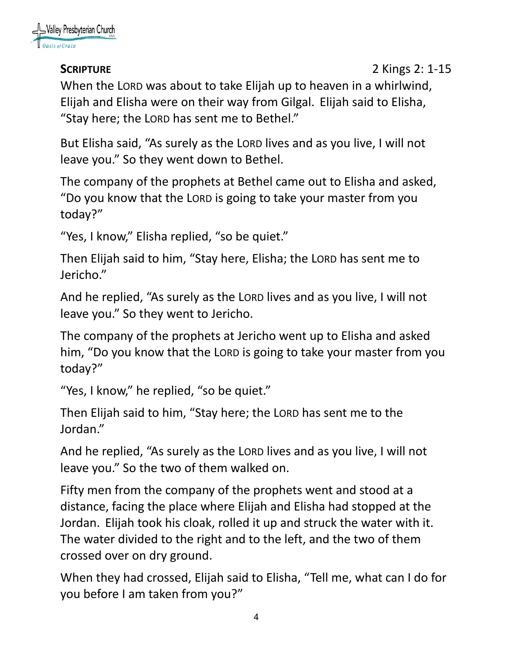

When the LORD was about to take Elijah up to heaven in a whirlwind, Elijah and Elisha were on their way from Gilgal. Elijah said to Elisha, "Stay here; the LORD has sent me to Bethel."

But Elisha said, "As surely as the LORD lives and as you live, I will not leave you." So they went down to Bethel.

The company of the prophets at Bethel came out to Elisha and asked, "Do you know that the LORD is going to take your master from you today?"

"Yes, I know," Elisha replied, "so be quiet."

Then Elijah said to him, "Stay here, Elisha; the LORD has sent me to Jericho."

And he replied, "As surely as the LORD lives and as you live, I will not leave you." So they went to Jericho.

The company of the prophets at Jericho went up to Elisha and asked him, "Do you know that the LORD is going to take your master from you today?"

"Yes, I know," he replied, "so be quiet."

Then Elijah said to him, "Stay here; the LORD has sent me to the Jordan."

And he replied, "As surely as the LORD lives and as you live, I will not leave you." So the two of them walked on.

Fifty men from the company of the prophets went and stood at a distance, facing the place where Elijah and Elisha had stopped at the Jordan. Elijah took his cloak, rolled it up and struck the water with it. The water divided to the right and to the left, and the two of them crossed over on dry ground.

When they had crossed, Elijah said to Elisha, "Tell me, what can I do for you before I am taken from you?"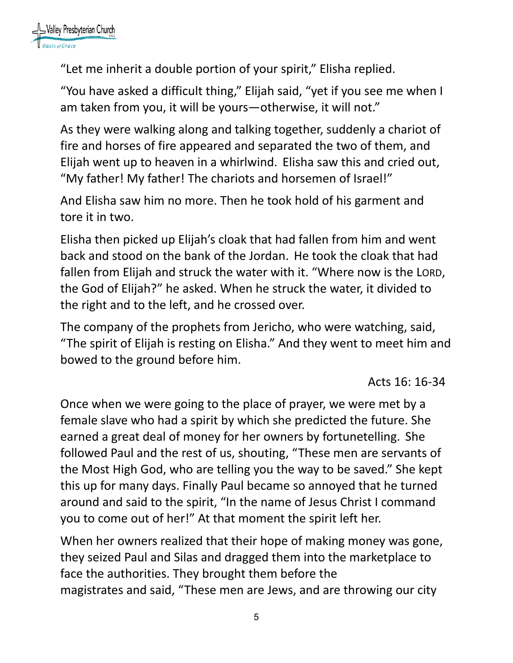

"Let me inherit a double portion of your spirit," Elisha replied.

"You have asked a difficult thing," Elijah said, "yet if you see me when I am taken from you, it will be yours—otherwise, it will not."

As they were walking along and talking together, suddenly a chariot of fire and horses of fire appeared and separated the two of them, and Elijah went up to heaven in a whirlwind. Elisha saw this and cried out, "My father! My father! The chariots and horsemen of Israel!"

And Elisha saw him no more. Then he took hold of his garment and tore it in two.

Elisha then picked up Elijah's cloak that had fallen from him and went back and stood on the bank of the Jordan. He took the cloak that had fallen from Elijah and struck the water with it. "Where now is the LORD, the God of Elijah?" he asked. When he struck the water, it divided to the right and to the left, and he crossed over.

The company of the prophets from Jericho, who were watching, said, "The spirit of Elijah is resting on Elisha." And they went to meet him and bowed to the ground before him.

Acts 16: 16-34

Once when we were going to the place of prayer, we were met by a female slave who had a spirit by which she predicted the future. She earned a great deal of money for her owners by fortunetelling. She followed Paul and the rest of us, shouting, "These men are servants of the Most High God, who are telling you the way to be saved." She kept this up for many days. Finally Paul became so annoyed that he turned around and said to the spirit, "In the name of Jesus Christ I command you to come out of her!" At that moment the spirit left her.

When her owners realized that their hope of making money was gone, they seized Paul and Silas and dragged them into the marketplace to face the authorities. They brought them before the magistrates and said, "These men are Jews, and are throwing our city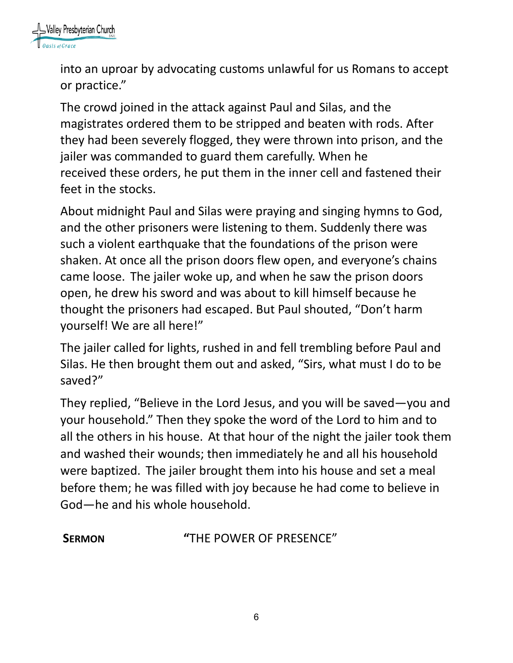

into an uproar by advocating customs unlawful for us Romans to accept or practice."

The crowd joined in the attack against Paul and Silas, and the magistrates ordered them to be stripped and beaten with rods. After they had been severely flogged, they were thrown into prison, and the jailer was commanded to guard them carefully. When he received these orders, he put them in the inner cell and fastened their feet in the stocks.

About midnight Paul and Silas were praying and singing hymns to God, and the other prisoners were listening to them. Suddenly there was such a violent earthquake that the foundations of the prison were shaken. At once all the prison doors flew open, and everyone's chains came loose. The jailer woke up, and when he saw the prison doors open, he drew his sword and was about to kill himself because he thought the prisoners had escaped. But Paul shouted, "Don't harm yourself! We are all here!"

The jailer called for lights, rushed in and fell trembling before Paul and Silas. He then brought them out and asked, "Sirs, what must I do to be saved?"

They replied, "Believe in the Lord Jesus, and you will be saved—you and your household." Then they spoke the word of the Lord to him and to all the others in his house. At that hour of the night the jailer took them and washed their wounds; then immediately he and all his household were baptized. The jailer brought them into his house and set a meal before them; he was filled with joy because he had come to believe in God—he and his whole household.

**SERMON "**THE POWER OF PRESENCE"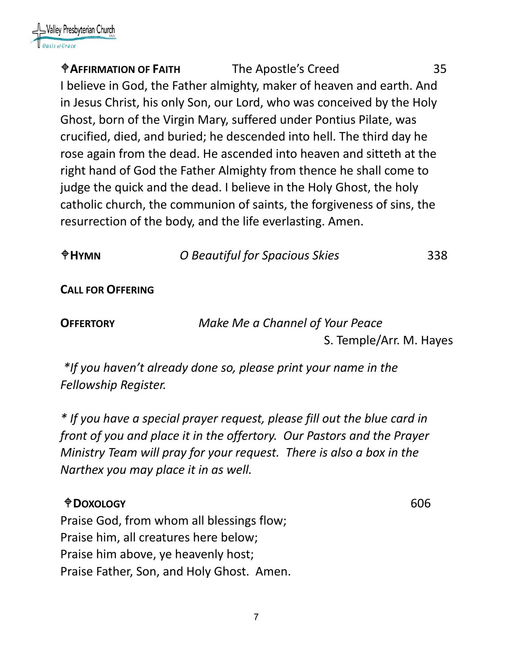

**AFFIRMATION OF FAITH** The Apostle's Creed 35 I believe in God, the Father almighty, maker of heaven and earth. And in Jesus Christ, his only Son, our Lord, who was conceived by the Holy Ghost, born of the Virgin Mary, suffered under Pontius Pilate, was crucified, died, and buried; he descended into hell. The third day he rose again from the dead. He ascended into heaven and sitteth at the right hand of God the Father Almighty from thence he shall come to judge the quick and the dead. I believe in the Holy Ghost, the holy catholic church, the communion of saints, the forgiveness of sins, the resurrection of the body, and the life everlasting. Amen.

| $\mathbf{\Phi}$ HYMN | O Beautiful for Spacious Skies | 338 |
|----------------------|--------------------------------|-----|
|                      |                                |     |

**CALL FOR OFFERING**

| <b>OFFERTORY</b> | Make Me a Channel of Your Peace |
|------------------|---------------------------------|
|                  | S. Temple/Arr. M. Hayes         |

*\*If you haven't already done so, please print your name in the Fellowship Register.*

*\* If you have a special prayer request, please fill out the blue card in front of you and place it in the offertory. Our Pastors and the Prayer Ministry Team will pray for your request. There is also a box in the Narthex you may place it in as well.*

# **DOXOLOGY** 606

Praise God, from whom all blessings flow; Praise him, all creatures here below; Praise him above, ye heavenly host; Praise Father, Son, and Holy Ghost. Amen.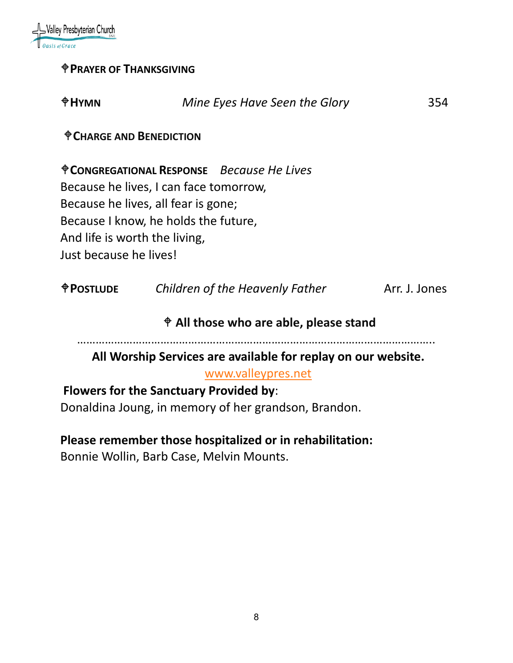

# **PRAYER OF THANKSGIVING**

| $*HY$ MN |                               | 354 |
|----------|-------------------------------|-----|
|          | Mine Eyes Have Seen the Glory |     |

**CHARGE AND BENEDICTION**

**CONGREGATIONAL RESPONSE** *Because He Lives* Because he lives, I can face tomorrow, Because he lives, all fear is gone; Because I know, he holds the future, And life is worth the living, Just because he lives!

| <b><i><u>OPOSTLUDE</u></i></b> | Children of the Heavenly Father | Arr. J. Jones |
|--------------------------------|---------------------------------|---------------|
|--------------------------------|---------------------------------|---------------|

## **All those who are able, please stand**

……………………………………………………………………………………………………..

**All Worship Services are available for replay on our website.** 

[www.valleypres.net](http://www.valleypres.net/)

**Flowers for the Sanctuary Provided by**:

Donaldina Joung, in memory of her grandson, Brandon.

# **Please remember those hospitalized or in rehabilitation:**

Bonnie Wollin, Barb Case, Melvin Mounts.